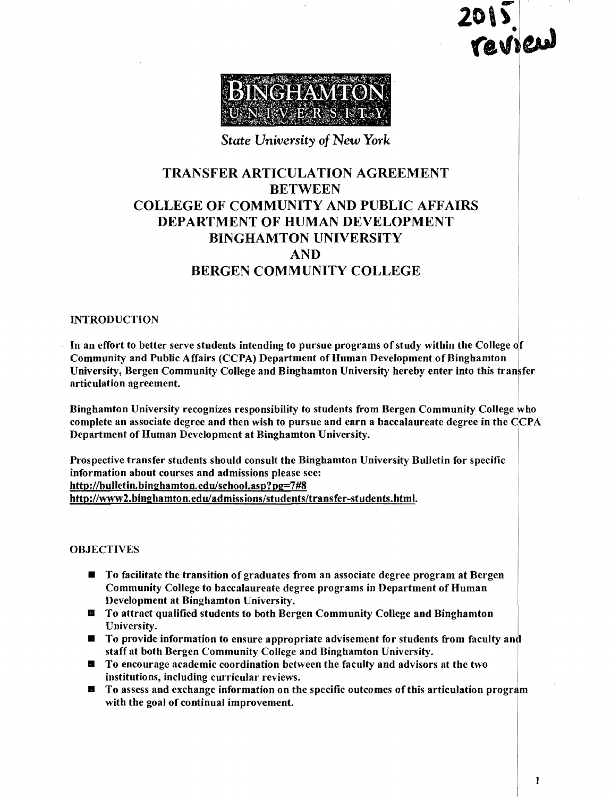$2015$ **TEAILLE** 



*State University* of *New York* 

## TRANSFER ARTICULATION AGREEMENT **BETWEEN** COLLEGE OF COMMUNITY AND PUBLIC AFFAIRS DEPARTMENT OF HUMAN DEVELOPMENT BINGHAMTON UNIVERSITY AND BERGEN COMMUNITY COLLEGE

#### **INTRODUCTION**

In an effort to better serve students intending to pursue programs of study within the College of Community and Public Affairs (CCPA) Department of Human Development of Binghamton University, Bergen Community College and Binghamton University hereby enter into this transfer articulation agreement.

Binghamton University recognizes responsibility to students from Bergen Community College who complete an associate degree and then wish to pursue and earn a baccalaureate degree in the CCPA Department of Human Development at Binghamton University. I

Prospective transfer students should consult the Binghamton University Bulletin for specific information about courses and admissions please see: http://bulletin.binghamton.edulschool.asp?pg=7#8 http://www2.binghamton.eduladmissions/students/transfer-students.html.

#### **OBJECTIVES**

- $\blacksquare$  To facilitate the transition of graduates from an associate degree program at Bergen Community College to baccalaureate degree programs in Department of Human Development at Binghamton University.
- **■** To attract qualified students to both Bergen Community College and Binghamton University.
- **To provide information to ensure appropriate advisement for students from faculty and** staff at both Bergen Community College and Binghamton University.
- To encourage academic coordination between the faculty and advisors at the two institutions, including curricular reviews.
- $\blacksquare$  To assess and exchange information on the specific outcomes of this articulation program with the goal of continual improvement.

I

.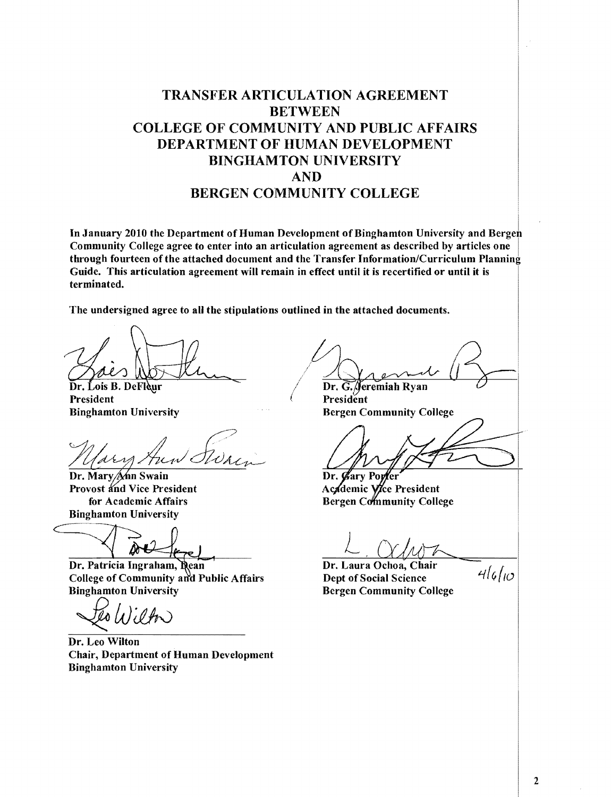## TRANSFER ARTICULATION AGREEMENT **BETWEEN** COLLEGE OF COMMUNITY AND PUBLIC AFFAIRS DEPARTMENT OF HUMAN DEVELOPMENT BINGHAMTON UNIVERSITY AND BERGEN COMMUNITY COLLEGE

In January 2010 the Department of Human Development of Binghamton University and Bergei Community College agree to enter into an articulation agreement as described by articles one through fourteen ofthe attached document and the Transfer Information/Curriculum Planning Guide. This articulation agreement will remain in effect until it is recertified or until it is terminated.

The undersigned agree to all the stipulations outlined in the attached documents.

Dr. Lois B. DeFleur **President** Binghamton University

Dr. Mary Ann Swain Provost and Vice President for Academic Affairs Binghamton University

Dr. Patricia Ingraham, Rean Dr. Laura Ochoa, Chair College of Community and Public Affairs Dept of Social Science  $4\ell\omega$ College of Community and Public Affairs<br>Binghamton University

 $h$  $(h)$ 

Dr. Leo Wilton Chair, Department of Human Development Binghamton University

 $\sqrt{\frac{1}{\text{Dr. G. } \text{feremiah Ryan}}}$ 

President Bergen Community College

Dr. Gary Porfer Academic Vice President **Bergen Community College** 

 $L$ ,  $\alpha$ hon

Bergen Community College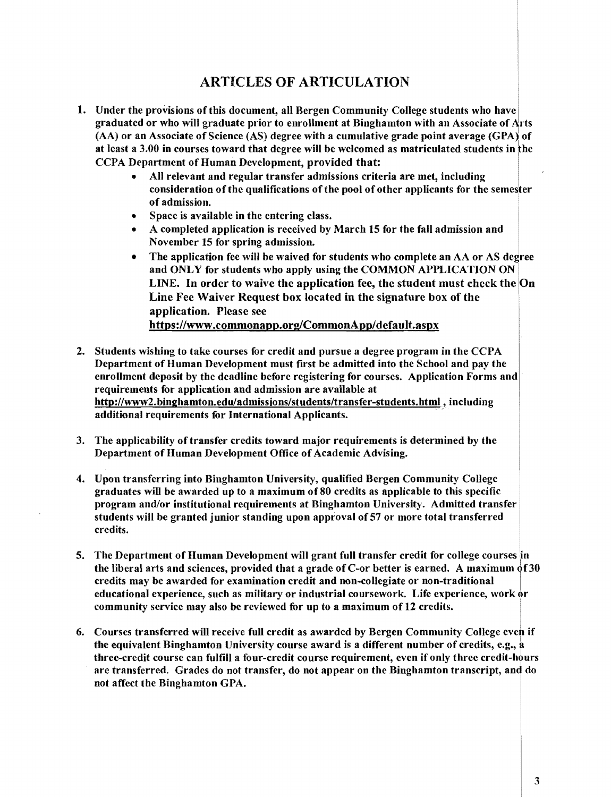### ARTICLES OF ARTICULATION

- 1. Under the provisions of this document, all Bergen Community College students who have graduated or who will graduate prior to enrollment at Binghamton with an Associate of Arts (AA) or an Associate of Science (AS) degree with a cumulative grade point average (GPA) of at least a 3.00 in courses toward that degree will be welcomed as matriculated students in the CCPA Department of Human Development, provided that:
	- All relevant and regular transfer admissions criteria are met, including consideration ofthe qualifications ofthe pool ofother applicants for the semester of admission. .
	- Space is available in the entering class.
	- A completed application is received by March 15 for the fall admission and November 15 for spring admission.
	- The application fee will be waived for students who complete an AA or AS degree and ONLY for students who apply using the COMMON APPLICATION ON LINE. In order to waive the application fee, the student must check the On Line Fee Waiver Request box located in the signature box of the application. Please see https://www.commonapp.org/CommonApp/default.aspx
- 2. Students wishing to take courses for credit and pursue a degree program in the CCPA Department of Human Development must first be admitted into the School and pay the enrollment deposit by the deadline before registering for courses. Application Forms and· requirements for application and admission are available at http://www2.binghamton.edu/admissions/students/transfer-students.html, including additional requirements for International Applicants.
- 3. The applicability of transfer credits toward major requirements is determined by the Department of Human Development Office of Academic Advising.
- 4. Upon transferring into Binghamton University, qualified Bergen Community College graduates will be awarded up to a maximum of80 credits as applicable to this specific program and/or institutional requirements at Binghamton University. Admitted transfer students will be granted junior standing upon approval of 57 or more total transferred credits.
- 5. The Department of Human Development will grant full transfer credit for college courses in the liberal arts and sciences, provided that a grade of C-or better is earned. A maximum  $\dot{\sigma}f30$ credits may be awarded for examination credit and non-collegiate or non-traditional I educational experience, such as military or industrial coursework. Life experience, work or community service may also be reviewed for up to a maximum of 12 credits.
- 6. Courses transferred will receive full credit as awarded by Bergen Community College even if the equivalent Binghamton University course award is a different number of credits, e.g., a three-credit course can fulfill a four-credit course requirement, even if only three credit-hours are transferred. Grades do not transfer, do not appear on the Binghamton transcript, and do not affect the Binghamton GPA.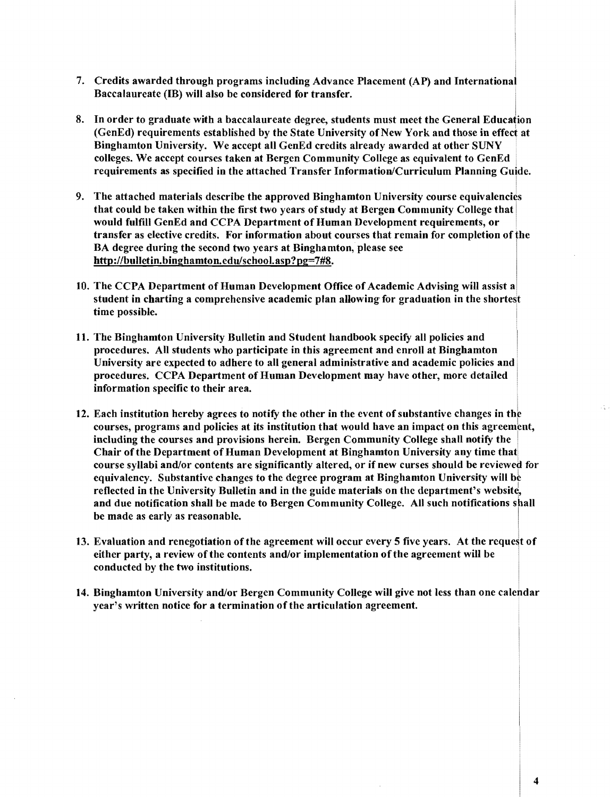- 7. Credits awarded through programs including Advance Placement (AP) and International Baccalaureate (IB) will also be considered for transfer.
- 8. In order to graduate with a baccalaureate degree, students must meet the General Education (GenEd) requirements established by the State University of New York and those in effect at Binghamton University. We accept all GenEd credits already awarded at other SUNY . colleges. We accept courses taken at Bergen Community College as equivalent to GenEd requirements as specified in the attached Transfer Information/Curriculum Planning Guide.
- 9. The attached materials describe the approved Binghamton University course equivalencies that could be taken within the first two years of study at Bergen Community College that I would fulfill GenEd and CCPA Department of Human Development requirements, or transfer as elective credits. For information about courses that remain for completion ofthe BA degree during the second two years at Binghamton, please see http://bulletin.binghamton.edulschool.asp?pg=7#8.
- 10. The CCPA Department of Human Development Office of Academic Advising will assist a student in charting a comprehensive academic plan allowing for graduation in the shortest time possible.
- 11. The Binghamton University Bulletin and Student handbook specify all policies and procedures. All students who participate in this agreement and enroll at Binghamton University are expected to adhere to all general administrative and academic policies and procedures. CCPA Department of Human Development may have other, more detailed information specific to their area.
- 12. Each institution hereby agrees to notify the other in the event of substantive changes in the courses, programs and policies at its institution that would have an impact on this agreement, including the courses and provisions herein. Bergen Community College shall notify the Chair of the Department of Human Development at Binghamton University any time that course syllabi and/or contents are significantly altered, or if new curses should be reviewed for equivalency. Substantive changes to the degree program at Binghamton University will be reflected in the University Bulletin and in the guide materials on the department's website, and due notification shall be made to Bergen Community College. All such notifications shall be made as early as reasonable.
- 13. Evaluation and renegotiation of the agreement will occur every 5 five years. At the request of either party, a review of the contents and/or implementation of the agreement will be conducted by the two institutions.
- 14. Binghamton University and/or Bergen Community College will give not less than one calendar year's written notice for a termination of the articulation agreement.

4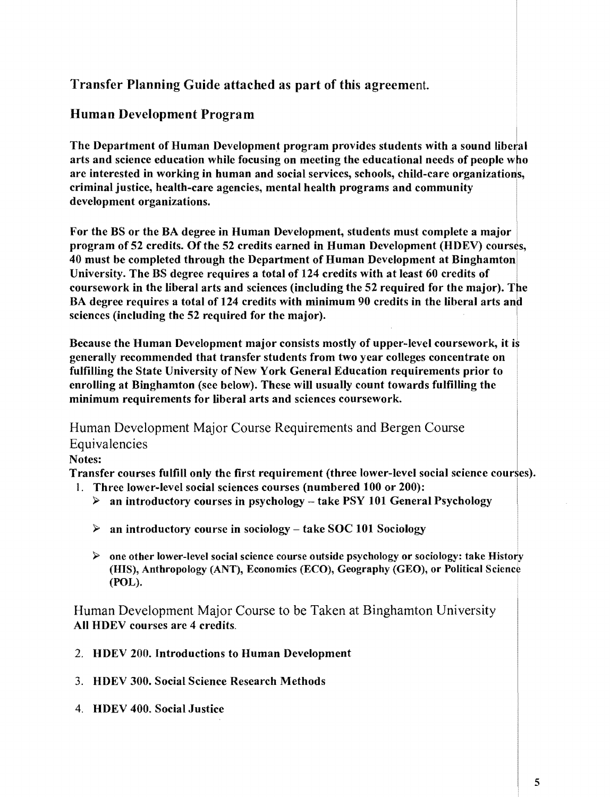### Transfer Planning Guide attached as part of this agreement.

### Human Development Program

The Department of Human Development program provides students with a sound liberal arts and science education while focusing on meeting the educational needs of people who are interested in working in human and social services, schools, child-care organizations, criminal justice, health-care agencies, mental health programs and community development organizations.

For the BS or the BA degree in Human Development, students must complete a major I program of 52 credits. Of the 52 credits earned in Human Development (HDEV) courses, 40 must be completed through the Department of Human Development at Binghamton University. The BS degree requires a total of 124 credits with at least 60 credits of coursework in the liberal arts and sciences (including the 52 required for the major). The BA degree requires a total of 124 credits with minimum 90 credits in the liberal arts and sciences (including the 52 required for the major).

Because the Human Development major consists mostly of upper-level coursework, it is generally recommended that transfer students from two year colleges concentrate on fulfilling the State University of New York General Education requirements prior to enrolling at Binghamton (see below). These will usually count towards fulfilling the minimum requirements for liberal arts and sciences coursework.

Human Development Major Course Requirements and Bergen Course Equivalencies

### Notes:

Transfer courses fulfill only the first requirement (three lower-level social science courses).

- 1. Three lower-level social sciences courses (numbered 100 or 200):
	- $\triangleright$  an introductory courses in psychology take PSY 101 General Psychology
	- $\triangleright$  an introductory course in sociology take SOC 101 Sociology
	- $\triangleright$  one other lower-level social science course outside psychology or sociology: take History (HIS), Anthropology (ANT), Economics (ECO), Geography (GEO), or Political Science (POL).

Human Development Major Course to be Taken at Binghamton University All HDEV courses are 4 credits.

- 2. HDEV 200. Introductions to Human Development
- 3. HDEV 300. Social Science Research Methods
- 4. HDEV 400. Social Justice

I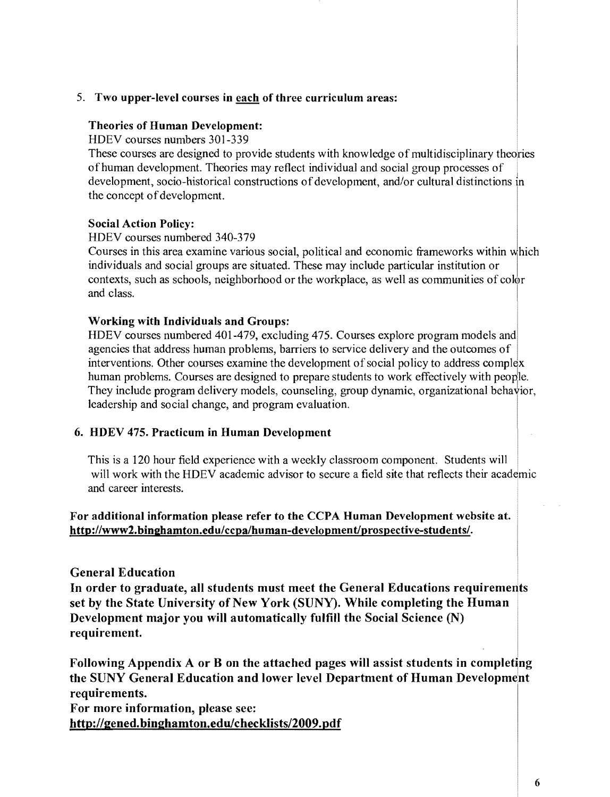#### 5. **Two upper-level courses in each of three curriculum areas:**

#### **Theories of Human Development:**

HDEV courses numbers 301-339

These courses are designed to provide students with knowledge of multidisciplinary theories of human development. Theories may reflect individual and social group processes of development, socio-historical constructions of development, and/or cultural distinctions in the concept of development.

#### **Social Action Policy:**

HDEV courses numbered 340-379

Courses in this area examine various social, political and economic frameworks within which individuals and social groups are situated. These may include particular institution or contexts, such as schools, neighborhood or the workplace, as well as communities of  $\text{color}$  $\alpha$  In the Islamic class.

#### **Working with Individuals and Groups:**

HDEV courses numbered 401-479, excluding 475. Courses explore program models and agencies that address human problems, barriers to service delivery and the outcomes of interventions. Other courses examine the development of social policy to address complex human problems. Courses are designed to prepare students to work effectively with people. They include program delivery models, counseling, group dynamic, organizational behavior, leadership and social change, and program evaluation.

#### **6. HDEV 475. Practicum in Human Development**

This is a 120 hour field experiencc with a weekly classroom component. Students will will work with the HDEV academic advisor to secure a field site that reflects their academic and career interests.

### **For additional information please refer to the CCPA Human Development website at.**  http://www2.binghamton.edu/ccpa/human-development/prospective-students/.

#### **General Education**

**In order to graduate, all students must meet the General Educations requirements set by the State University** of New **York (SUNY). While completing the Human Development major you will automatically fulfill the Social Science (N) requirement.** 

Following Appendix A or B on the attached pages will assist students in completing **the SUNY General Education and lower level Department of Human Development requirements.** 

**For more information, please see: http://gened.binghamton.edulchecklists/2009.pdf**